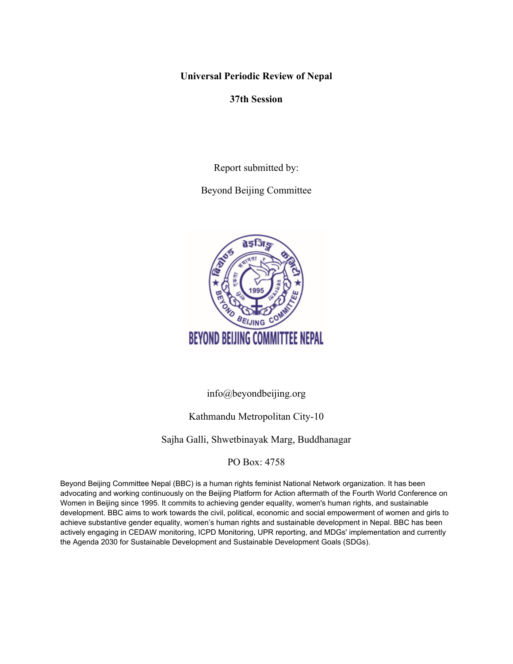**Universal Periodic Review of Nepal**

**37th Session**

Report submitted by:

Beyond Beijing Committee



info@beyondbeijing.org

# Kathmandu Metropolitan City-10

# Sajha Galli, Shwetbinayak Marg, Buddhanagar

# PO Box: 4758

Beyond Beijing Committee Nepal (BBC) is <sup>a</sup> human rights feminist National Network organization. It has been advocating and working continuously on the Beijing Platform for Action aftermath of the Fourth World Conference on Women in Beijing since 1995. It commits to achieving gender equality, women's human rights, and sustainable development. BBC aims to work towards the civil, political, economic and social empowerment of women and girls to achieve substantive gender equality, women'<sup>s</sup> human rights and sustainable development in Nepal. BBC has been actively engaging in CEDAW monitoring, ICPD Monitoring, UPR reporting, and MDGs' implementation and currently the Agenda 2030 for Sustainable Development and Sustainable Development Goals (SDGs).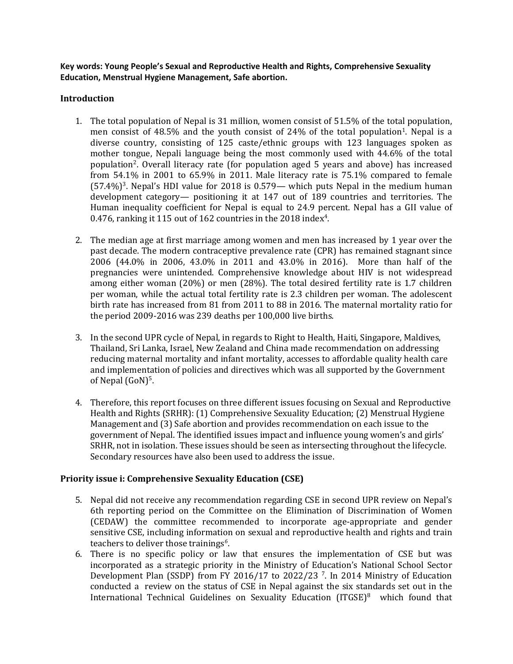**Key words: Young People'<sup>s</sup> Sexual and Reproductive Health and Rights, Comprehensive Sexuality Education, Menstrual Hygiene Management, Safe abortion.**

### **Introduction**

- 1. The total population of Nepal is 31 million, women consist of 51.5% of the total population, men consist of 48.5% and the youth consist of 24% of the total population<sup>1</sup>. Nepal is a diverse country, consisting of 125 caste/ethnic groups with 123 languages spoken as mother tongue, Nepali language being the most commonly used with 44.6% of the total population<sup>2</sup>. Overall literacy rate (for population aged 5 years and above) has increased from 54.1% in 2001 to 65.9% in 2011. Male literacy rate is 75.1% compared to female (57.4%) 3 . Nepal'<sup>s</sup> HDI value for 2018 is 0.579— which puts Nepal in the medium human development category— positioning it at 147 out of 189 countries and territories. The Human inequality coefficient for Nepal is equal to 24.9 percent. Nepal has <sup>a</sup> GII value of 0.476, ranking it 115 out of 162 countries in the 2018 index $^4$ .
- 2. The median age at first marriage among women and men has increased by 1 year over the past decade. The modern contraceptive prevalence rate (CPR) has remained stagnant since 2006 (44.0% in 2006, 43.0% in 2011 and 43.0% in 2016). More than half of the pregnancies were unintended. Comprehensive knowledge about HIV is not widespread among either woman (20%) or men (28%). The total desired fertility rate is 1.7 children per woman, while the actual total fertility rate is 2.3 children per woman. The adolescent birth rate has increased from 81 from 2011 to 88 in 2016. The maternal mortality ratio for the period 2009-2016 was 239 deaths per 100,000 live births.
- 3. In the second UPR cycle of Nepal, in regards to Right to Health, Haiti, Singapore, Maldives, Thailand, Sri Lanka, Israel, New Zealand and China made recommendation on addressing reducing maternal mortality and infant mortality, accesses to affordable quality health care and implementation of policies and directives which was all supported by the Government of Nepal (GoN)<sup>5</sup>.
- 4. Therefore, this report focuses on three different issues focusing on Sexual and Reproductive Health and Rights (SRHR): (1) Comprehensive Sexuality Education; (2) Menstrual Hygiene Management and (3) Safe abortion and provides recommendation on each issue to the governmen<sup>t</sup> of Nepal. The identified issues impact and influence young women'<sup>s</sup> and girls' SRHR, not in isolation. These issues should be seen as intersecting throughout the lifecycle. Secondary resources have also been used to address the issue.

# **Priority issue i: Comprehensive Sexuality Education (CSE)**

- 5. Nepal did not receive any recommendation regarding CSE in second UPR review on Nepal'<sup>s</sup> 6th reporting period on the Committee on the Elimination of Discrimination of Women (CEDAW) the committee recommended to incorporate age-appropriate and gender sensitive CSE, including information on sexual and reproductive health and rights and train teachers to deliver those trainings *6* .
- 6. There is no specific policy or law that ensures the implementation of CSE but was incorporated as <sup>a</sup> strategic priority in the Ministry of Education'<sup>s</sup> National School Sector Development Plan (SSDP) from FY 2016/17 to 2022/23 <sup>7</sup> . In 2014 Ministry of Education conducted <sup>a</sup> review on the status of CSE in Nepal against the six standards set out in the International Technical Guidelines on Sexuality Education (ITGSE)<sup>8</sup> which found that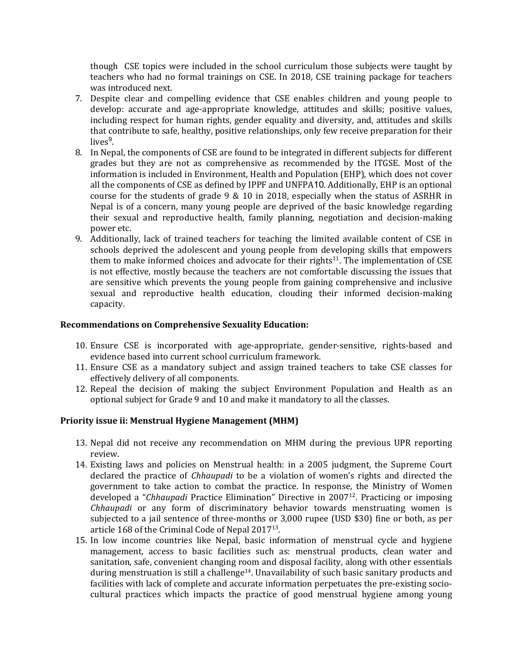though CSE topics were included in the school curriculum those subjects were taught by teachers who had no formal trainings on CSE. In 2018, CSE training package for teachers was introduced next.

- 7. Despite clear and compelling evidence that CSE enables children and young people to develop: accurate and age-appropriate knowledge, attitudes and skills; positive values, including respect for human rights, gender equality and diversity, and, attitudes and skills that contribute to safe, healthy, positive relationships, only few receive preparation for their lives<sup>9</sup>.
- 8. In Nepal, the components of CSE are found to be integrated in different subjects for different grades but they are not as comprehensive as recommended by the ITGSE. Most of the information is included in Environment, Health and Population (EHP), which does not cover all the components of CSE as defined by IPPF and UNFPA10. Additionally, EHP is an optional course for the students of grade 9 & 10 in 2018, especially when the status of ASRHR in Nepal is of <sup>a</sup> concern, many young people are deprived of the basic knowledge regarding their sexual and reproductive health, family planning, negotiation and decision-making power etc.
- 9. Additionally, lack of trained teachers for teaching the limited available content of CSE in schools deprived the adolescent and young people from developing skills that empowers them to make informed choices and advocate for their rights $^{11}$ . The implementation of CSE is not effective, mostly because the teachers are not comfortable discussing the issues that are sensitive which prevents the young people from gaining comprehensive and inclusive sexual and reproductive health education, clouding their informed decision-making capacity.

### **Recommendations on Comprehensive Sexuality Education:**

- 10. Ensure CSE is incorporated with age-appropriate, gender-sensitive, rights-based and evidence based into current school curriculum framework.
- 11. Ensure CSE as <sup>a</sup> mandatory subject and assign trained teachers to take CSE classes for effectively delivery of all components.
- 12. Repeal the decision of making the subject Environment Population and Health as an optional subject for Grade 9 and 10 and make it mandatory to all the classes.

### **Priority issue ii: Menstrual Hygiene Management (MHM)**

- 13. Nepal did not receive any recommendation on MHM during the previous UPR reporting review.
- 14. Existing laws and policies on Menstrual health: in <sup>a</sup> 2005 judgment, the Supreme Court declared the practice of *Chhaupadi* to be <sup>a</sup> violation of women'<sup>s</sup> rights and directed the governmen<sup>t</sup> to take action to combat the practice. In response, the Ministry of Women developed <sup>a</sup> "*Chhaupadi* Practice Elimination" Directive in <sup>2007</sup><sup>12</sup> . Practicing or imposing *Chhaupadi* or any form of discriminatory behavior towards menstruating women is subjected to <sup>a</sup> jail sentence of three-months or 3,000 rupee (USD \$30) fine or both, as per article  $168$  of the Criminal Code of Nepal 2017 $^{\rm 13}$ .
- 15. In low income countries like Nepal, basic information of menstrual cycle and hygiene management, access to basic facilities such as: menstrual products, clean water and sanitation, safe, convenient changing room and disposal facility, along with other essentials during menstruation is still a challenge<sup>14</sup>. Unavailability of such basic sanitary products and facilities with lack of complete and accurate information perpetuates the pre-existing sociocultural practices which impacts the practice of good menstrual hygiene among young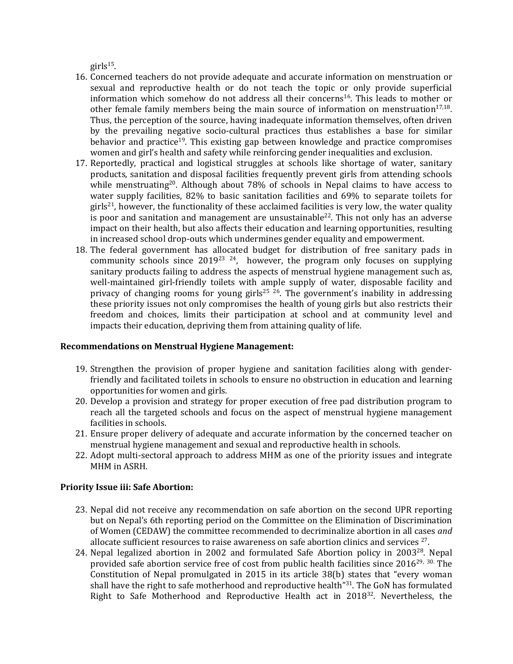girls 15 .

- 16. Concerned teachers do not provide adequate and accurate information on menstruation or sexual and reproductive health or do not teach the topic or only provide superficial information which somehow do not address all their concerns $^{16}$ . This leads to mother or other female family members being the main source of information on menstruation $^{17,18}$ . Thus, the perception of the source, having inadequate information themselves, often driven by the prevailing negative socio-cultural practices thus establishes <sup>a</sup> base for similar behavior and practice<sup>19</sup>. This existing gap between knowledge and practice compromises women and girl'<sup>s</sup> health and safety while reinforcing gender inequalities and exclusion.
- 17. Reportedly, practical and logistical struggles at schools like shortage of water, sanitary products, sanitation and disposal facilities frequently prevent girls from attending schools while menstruating $^{\rm 20}$ . Although about 78% of schools in Nepal claims to have access to water supply facilities, 82% to basic sanitation facilities and 69% to separate toilets for girls<sup>21</sup>, however, the functionality of these acclaimed facilities is very low, the water quality is poor and sanitation and management are unsustainable<sup>22</sup>. This not only has an adverse impact on their health, but also affects their education and learning opportunities, resulting in increased school drop-outs which undermines gender equality and empowerment.
- 18. The federal governmen<sup>t</sup> has allocated budget for distribution of free sanitary pads in community schools since 2019<sup>23 24</sup>, however, the program only focuses on supplying sanitary products failing to address the aspects of menstrual hygiene managemen<sup>t</sup> such as, well-maintained girl-friendly toilets with ample supply of water, disposable facility and privacy of changing rooms for young girls<sup>25 26</sup>. The government's inability in addressing these priority issues not only compromises the health of young girls but also restricts their freedom and choices, limits their participation at school and at community level and impacts their education, depriving them from attaining quality of life.

### **Recommendations on Menstrual Hygiene Management:**

- 19. Strengthen the provision of proper hygiene and sanitation facilities along with genderfriendly and facilitated toilets in schools to ensure no obstruction in education and learning opportunities for women and girls.
- 20. Develop <sup>a</sup> provision and strategy for proper execution of free pad distribution program to reach all the targeted schools and focus on the aspect of menstrual hygiene managemen<sup>t</sup> facilities in schools.
- 21. Ensure proper delivery of adequate and accurate information by the concerned teacher on menstrual hygiene managemen<sup>t</sup> and sexual and reproductive health in schools.
- 22. Adopt multi-sectoral approach to address MHM as one of the priority issues and integrate MHM in ASRH.

# **Priority Issue iii: Safe Abortion:**

- 23. Nepal did not receive any recommendation on safe abortion on the second UPR reporting but on Nepal'<sup>s</sup> 6th reporting period on the Committee on the Elimination of Discrimination of Women (CEDAW) the committee recommended to decriminalize abortion in all cases *and* allocate sufficient resources to raise awareness on safe abortion clinics and services  $^{27}$ .
- 24. Nepal legalized abortion in 2002 and formulated Safe Abortion policy in 2003<sup>28</sup>. Nepal provided safe abortion service free of cost from public health facilities since 2016 $^{29,\;30.}$  The Constitution of Nepal promulgated in 2015 in its article 38(b) states that "every woman shall have the right to safe motherhood and reproductive health"<sup>31</sup>. The GoN has formulated Right to Safe Motherhood and Reproductive Health act in 2018<sup>32</sup>. Nevertheless, the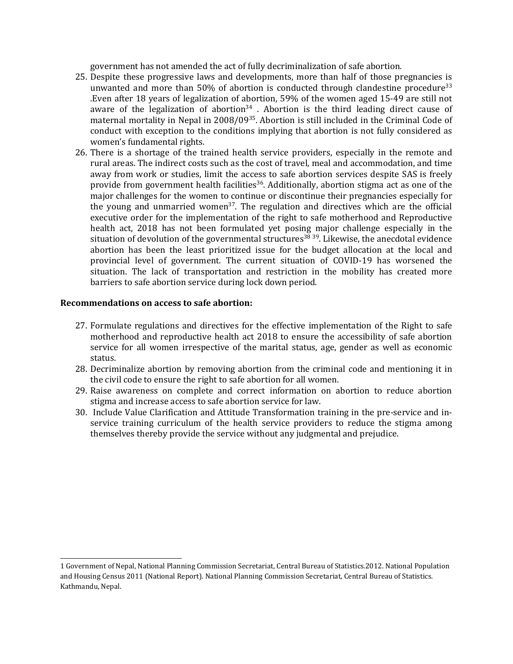governmen<sup>t</sup> has not amended the act of fully decriminalization of safe abortion.

- 25. Despite these progressive laws and developments, more than half of those pregnancies is unwanted and more than 50% of abortion is conducted through clandestine procedure $33$ .Even after 18 years of legalization of abortion, 59% of the women aged 15-49 are still not aware of the legalization of abortion $^{34}$  . Abortion is the third leading direct cause of maternal mortality in Nepal in 2008/09<sup>35</sup>. Abortion is still included in the Criminal Code of conduct with exception to the conditions implying that abortion is not fully considered as women'<sup>s</sup> fundamental rights.
- 26. There is <sup>a</sup> shortage of the trained health service providers, especially in the remote and rural areas. The indirect costs such as the cost of travel, meal and accommodation, and time away from work or studies, limit the access to safe abortion services despite SAS is freely provide from government health facilities<sup>36</sup>. Additionally, abortion stigma act as one of the major challenges for the women to continue or discontinue their pregnancies especially for the young and unmarried women<sup>37</sup>. The regulation and directives which are the official executive order for the implementation of the right to safe motherhood and Reproductive health act, 2018 has not been formulated yet posing major challenge especially in the situation of devolution of the governmental structures<sup>38 39</sup>. Likewise, the anecdotal evidence abortion has been the least prioritized issue for the budget allocation at the local and provincial level of government. The current situation of COVID-19 has worsened the situation. The lack of transportation and restriction in the mobility has created more barriers to safe abortion service during lock down period.

#### **Recommendations on access to safe abortion:**

- 27. Formulate regulations and directives for the effective implementation of the Right to safe motherhood and reproductive health act 2018 to ensure the accessibility of safe abortion service for all women irrespective of the marital status, age, gender as well as economic status.
- 28. Decriminalize abortion by removing abortion from the criminal code and mentioning it in the civil code to ensure the right to safe abortion for all women.
- 29. Raise awareness on complete and correct information on abortion to reduce abortion stigma and increase access to safe abortion service for law.
- 30. Include Value Clarification and Attitude Transformation training in the pre-service and inservice training curriculum of the health service providers to reduce the stigma among themselves thereby provide the service without any judgmental and prejudice.

<sup>1</sup> Government of Nepal, National Planning Commission Secretariat, Central Bureau of Statistics.2012. National Population and Housing Census 2011 (National Report). National Planning Commission Secretariat, Central Bureau of Statistics. Kathmandu, Nepal.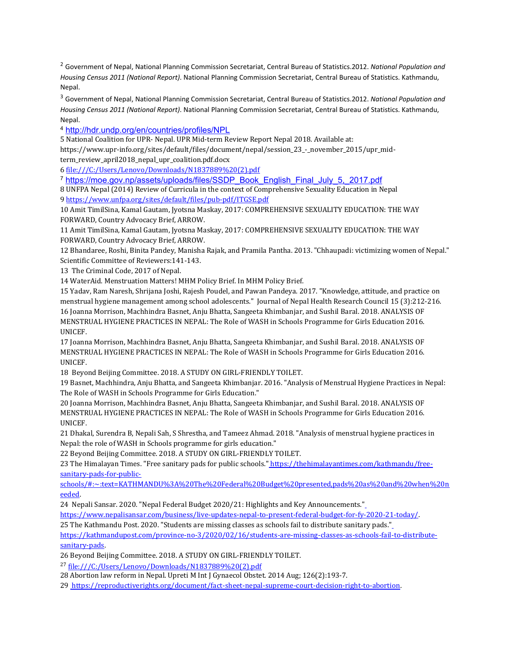2 Government of Nepal, National Planning Commission Secretariat, Central Bureau of Statistics.2012. *National Population and Housing Census 2011 (National Report)*. National Planning Commission Secretariat, Central Bureau of Statistics. Kathmandu, Nepal.

3 Government of Nepal, National Planning Commission Secretariat, Central Bureau of Statistics.2012. *National Population and Housing Census 2011 (National Report)*. National Planning Commission Secretariat, Central Bureau of Statistics. Kathmandu, Nepal.

4 <http://hdr.undp.org/en/countries/profiles/NPL>

5 National Coalition for UPR- Nepal. UPR Mid-term Review Report Nepal 2018. Available at: https://www.upr-info.org/sites/default/files/document/nepal/session\_23\_-\_november\_2015/upr\_midterm\_review\_april2018\_nepal\_upr\_coalition.pdf.docx

6 file:///C:/Users/Lenovo/Downloads/N1837889%20(2).pdf

7 [https://moe.gov.np/assets/uploads/files/SSDP\\_Book\\_English\\_Final\\_July\\_5,\\_2017.pdf](https://moe.gov.np/assets/uploads/files/SSDP_Book_English_Final_July_5,_2017.pdf)

8 UNFPA Nepal (2014) Review of Curricula in the context of Comprehensive Sexuality Education in Nepal 9 <https://www.unfpa.org/sites/default/files/pub-pdf/ITGSE.pdf>

10 Amit TimilSina, Kamal Gautam, Jyotsna Maskay, 2017: COMPREHENSIVE SEXUALITY EDUCATION: THE WAY FORWARD, Country Advocacy Brief, ARROW.

11 Amit TimilSina, Kamal Gautam, Jyotsna Maskay, 2017: COMPREHENSIVE SEXUALITY EDUCATION: THE WAY FORWARD, Country Advocacy Brief, ARROW.

12 Bhandaree, Roshi, Binita Pandey, Manisha Rajak, and Pramila Pantha. 2013. "Chhaupadi: victimizing women of Nepal." Scientific Committee of Reviewers:141-143.

13 The Criminal Code, 2017 of Nepal.

14 WaterAid. Menstruation Matters! MHM Policy Brief. In MHM Policy Brief.

15 Yadav, Ram Naresh, Shrijana Joshi, Rajesh Poudel, and Pawan Pandeya. 2017. "Knowledge, attitude, and practice on menstrual hygiene managemen<sup>t</sup> among school adolescents." Journal of Nepal Health Research Council 15 (3):212-216. 16 Joanna Morrison, Machhindra Basnet, Anju Bhatta, Sangeeta Khimbanjar, and Sushil Baral. 2018. ANALYSIS OF MENSTRUAL HYGIENE PRACTICES IN NEPAL: The Role of WASH in Schools Programme for Girls Education 2016. UNICEF.

17 Joanna Morrison, Machhindra Basnet, Anju Bhatta, Sangeeta Khimbanjar, and Sushil Baral. 2018. ANALYSIS OF MENSTRUAL HYGIENE PRACTICES IN NEPAL: The Role of WASH in Schools Programme for Girls Education 2016. UNICEF.

18 Beyond Beijing Committee. 2018. ASTUDY ON GIRL-FRIENDLY TOILET.

19 Basnet, Machhindra, Anju Bhatta, and Sangeeta Khimbanjar. 2016. "Analysis of Menstrual Hygiene Practices in Nepal: The Role of WASH in Schools Programme for Girls Education."

20 Joanna Morrison, Machhindra Basnet, Anju Bhatta, Sangeeta Khimbanjar, and Sushil Baral. 2018. ANALYSIS OF MENSTRUAL HYGIENE PRACTICES IN NEPAL: The Role of WASH in Schools Programme for Girls Education 2016. UNICEF.

21 Dhakal, Surendra B, Nepali Sah, S Shrestha, and Tameez Ahmad. 2018. "Analysis of menstrual hygiene practices in Nepal: the role of WASH in Schools programme for girls education."

22 Beyond Beijing Committee. 2018. ASTUDY ON GIRL-FRIENDLY TOILET.

23 The Himalayan Times. "Free sanitary pads for public schools." [https://thehimalayantimes.com/kathmandu/free](https://thehimalayantimes.com/kathmandu/free-sanitary-pads-for-public-schools/#:~:text=KATHMANDU%3A%20The%20Federal%20Budget%20presented,pads%20as%20and%20when%20needed)[sanitary-pads-for-public-](https://thehimalayantimes.com/kathmandu/free-sanitary-pads-for-public-schools/#:~:text=KATHMANDU%3A%20The%20Federal%20Budget%20presented,pads%20as%20and%20when%20needed)

[schools/#:~:text=KATHMANDU%3A%20The%20Federal%20Budget%20presented,pads%20as%20and%20when%20n](https://thehimalayantimes.com/kathmandu/free-sanitary-pads-for-public-schools/#:~:text=KATHMANDU%3A%20The%20Federal%20Budget%20presented,pads%20as%20and%20when%20needed) [eeded](https://thehimalayantimes.com/kathmandu/free-sanitary-pads-for-public-schools/#:~:text=KATHMANDU%3A%20The%20Federal%20Budget%20presented,pads%20as%20and%20when%20needed).

24 Nepali Sansar. 2020. "Nepal Federal Budget 2020/21: Highlights and Key Announcements."

[https://www.nepalisansar.com/business/live-updates-nepal-to-present-federal-budget-for-fy-2020-21-today/.](https://www.nepalisansar.com/business/live-updates-nepal-to-present-federal-budget-for-fy-2020-21-today/)

25 The Kathmandu Post. 2020. "Students are missing classes as schools fail to distribute sanitary pads."

[https://kathmandupost.com/province-no-3/2020/02/16/students-are-missing-classes-as-schools-fail-to-distribute](https://kathmandupost.com/province-no-3/2020/02/16/students-are-missing-classes-as-schools-fail-to-distribute-sanitary-pads)[sanitary-pads](https://kathmandupost.com/province-no-3/2020/02/16/students-are-missing-classes-as-schools-fail-to-distribute-sanitary-pads).

26 Beyond Beijing Committee. 2018. ASTUDY ON GIRL-FRIENDLY TOILET.

<sup>27</sup> file:///C:/Users/Lenovo/Downloads/N1837889%20(2).pdf

28 Abortion law reform in Nepal. Upreti MInt J Gynaecol Obstet. 2014 Aug; 126(2):193-7.

29 <https://reproductiverights.org/document/fact-sheet-nepal-supreme-court-decision-right-to-abortion>.